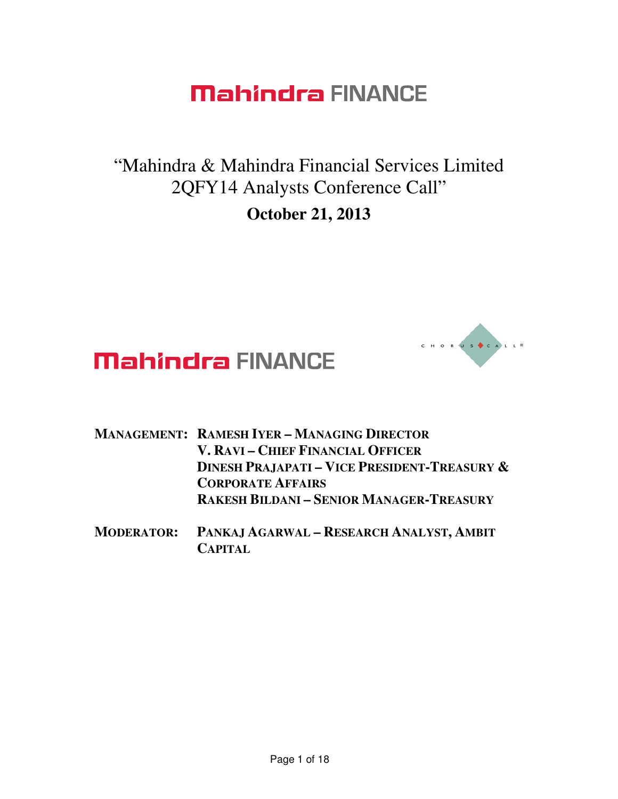"Mahindra & Mahindra Financial Services Limited 2QFY14 Analysts Conference Call" **October 21, 2013** 



- **MANAGEMENT: RAMESH IYER – MANAGING DIRECTOR V. RAVI – CHIEF FINANCIAL OFFICER DINESH PRAJAPATI – VICE PRESIDENT-TREASURY & CORPORATE AFFAIRS RAKESH BILDANI – SENIOR MANAGER-TREASURY**
- **MODERATOR: PANKAJ AGARWAL – RESEARCH ANALYST, AMBIT CAPITAL**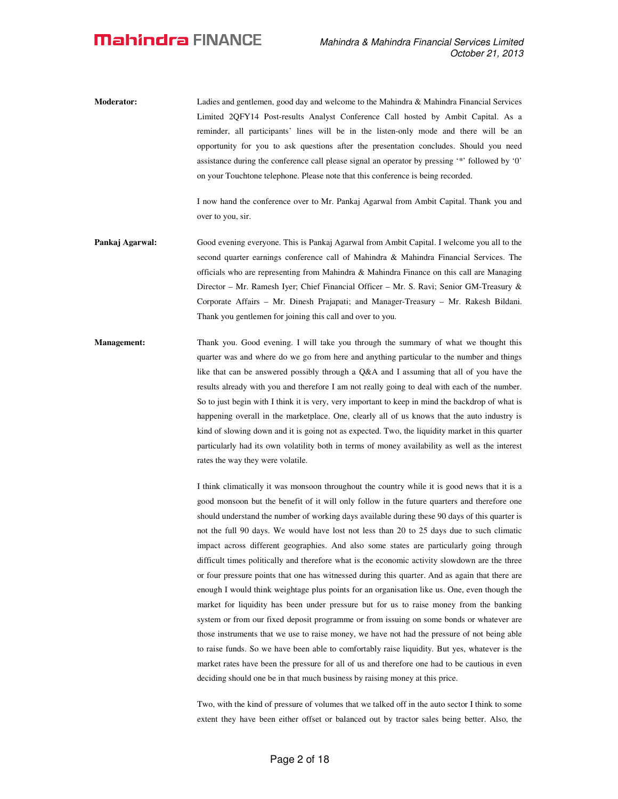**Moderator:** Ladies and gentlemen, good day and welcome to the Mahindra & Mahindra Financial Services Limited 2QFY14 Post-results Analyst Conference Call hosted by Ambit Capital. As a reminder, all participants' lines will be in the listen-only mode and there will be an opportunity for you to ask questions after the presentation concludes. Should you need assistance during the conference call please signal an operator by pressing '\*' followed by '0' on your Touchtone telephone. Please note that this conference is being recorded.

> I now hand the conference over to Mr. Pankaj Agarwal from Ambit Capital. Thank you and over to you, sir.

- **Pankaj Agarwal:** Good evening everyone. This is Pankaj Agarwal from Ambit Capital. I welcome you all to the second quarter earnings conference call of Mahindra & Mahindra Financial Services. The officials who are representing from Mahindra & Mahindra Finance on this call are Managing Director – Mr. Ramesh Iyer; Chief Financial Officer – Mr. S. Ravi; Senior GM-Treasury & Corporate Affairs – Mr. Dinesh Prajapati; and Manager-Treasury – Mr. Rakesh Bildani. Thank you gentlemen for joining this call and over to you.
- **Management:** Thank you. Good evening. I will take you through the summary of what we thought this quarter was and where do we go from here and anything particular to the number and things like that can be answered possibly through a Q&A and I assuming that all of you have the results already with you and therefore I am not really going to deal with each of the number. So to just begin with I think it is very, very important to keep in mind the backdrop of what is happening overall in the marketplace. One, clearly all of us knows that the auto industry is kind of slowing down and it is going not as expected. Two, the liquidity market in this quarter particularly had its own volatility both in terms of money availability as well as the interest rates the way they were volatile.

I think climatically it was monsoon throughout the country while it is good news that it is a good monsoon but the benefit of it will only follow in the future quarters and therefore one should understand the number of working days available during these 90 days of this quarter is not the full 90 days. We would have lost not less than 20 to 25 days due to such climatic impact across different geographies. And also some states are particularly going through difficult times politically and therefore what is the economic activity slowdown are the three or four pressure points that one has witnessed during this quarter. And as again that there are enough I would think weightage plus points for an organisation like us. One, even though the market for liquidity has been under pressure but for us to raise money from the banking system or from our fixed deposit programme or from issuing on some bonds or whatever are those instruments that we use to raise money, we have not had the pressure of not being able to raise funds. So we have been able to comfortably raise liquidity. But yes, whatever is the market rates have been the pressure for all of us and therefore one had to be cautious in even deciding should one be in that much business by raising money at this price.

Two, with the kind of pressure of volumes that we talked off in the auto sector I think to some extent they have been either offset or balanced out by tractor sales being better. Also, the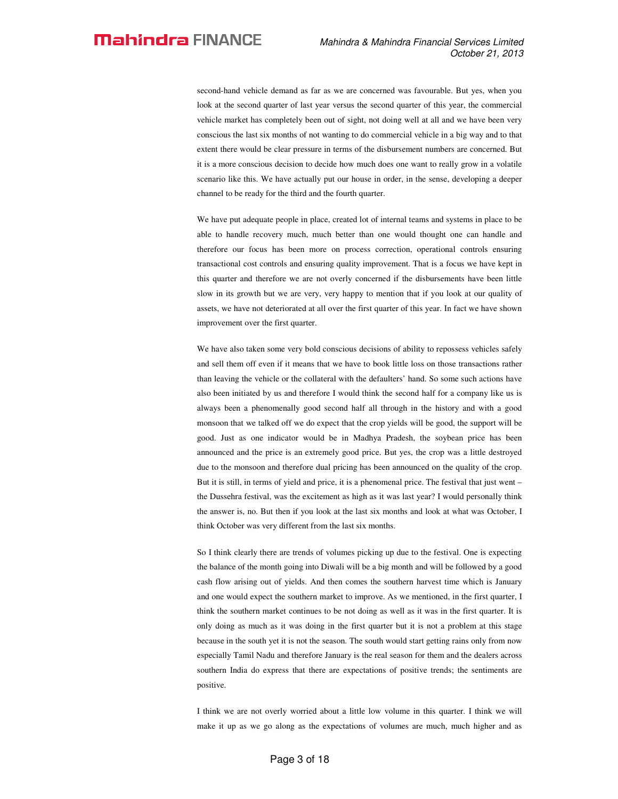second-hand vehicle demand as far as we are concerned was favourable. But yes, when you look at the second quarter of last year versus the second quarter of this year, the commercial vehicle market has completely been out of sight, not doing well at all and we have been very conscious the last six months of not wanting to do commercial vehicle in a big way and to that extent there would be clear pressure in terms of the disbursement numbers are concerned. But it is a more conscious decision to decide how much does one want to really grow in a volatile scenario like this. We have actually put our house in order, in the sense, developing a deeper channel to be ready for the third and the fourth quarter.

We have put adequate people in place, created lot of internal teams and systems in place to be able to handle recovery much, much better than one would thought one can handle and therefore our focus has been more on process correction, operational controls ensuring transactional cost controls and ensuring quality improvement. That is a focus we have kept in this quarter and therefore we are not overly concerned if the disbursements have been little slow in its growth but we are very, very happy to mention that if you look at our quality of assets, we have not deteriorated at all over the first quarter of this year. In fact we have shown improvement over the first quarter.

We have also taken some very bold conscious decisions of ability to repossess vehicles safely and sell them off even if it means that we have to book little loss on those transactions rather than leaving the vehicle or the collateral with the defaulters' hand. So some such actions have also been initiated by us and therefore I would think the second half for a company like us is always been a phenomenally good second half all through in the history and with a good monsoon that we talked off we do expect that the crop yields will be good, the support will be good. Just as one indicator would be in Madhya Pradesh, the soybean price has been announced and the price is an extremely good price. But yes, the crop was a little destroyed due to the monsoon and therefore dual pricing has been announced on the quality of the crop. But it is still, in terms of yield and price, it is a phenomenal price. The festival that just went – the Dussehra festival, was the excitement as high as it was last year? I would personally think the answer is, no. But then if you look at the last six months and look at what was October, I think October was very different from the last six months.

So I think clearly there are trends of volumes picking up due to the festival. One is expecting the balance of the month going into Diwali will be a big month and will be followed by a good cash flow arising out of yields. And then comes the southern harvest time which is January and one would expect the southern market to improve. As we mentioned, in the first quarter, I think the southern market continues to be not doing as well as it was in the first quarter. It is only doing as much as it was doing in the first quarter but it is not a problem at this stage because in the south yet it is not the season. The south would start getting rains only from now especially Tamil Nadu and therefore January is the real season for them and the dealers across southern India do express that there are expectations of positive trends; the sentiments are positive.

I think we are not overly worried about a little low volume in this quarter. I think we will make it up as we go along as the expectations of volumes are much, much higher and as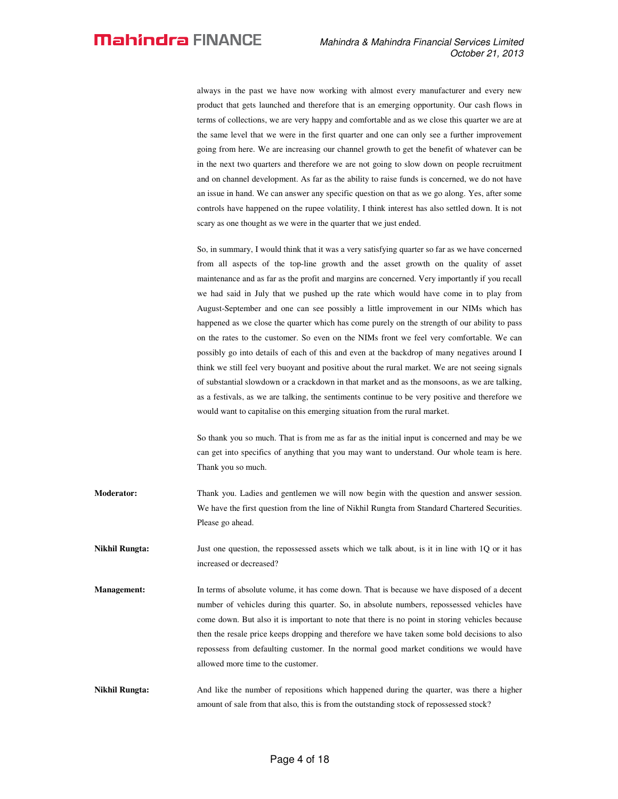always in the past we have now working with almost every manufacturer and every new product that gets launched and therefore that is an emerging opportunity. Our cash flows in terms of collections, we are very happy and comfortable and as we close this quarter we are at the same level that we were in the first quarter and one can only see a further improvement going from here. We are increasing our channel growth to get the benefit of whatever can be in the next two quarters and therefore we are not going to slow down on people recruitment and on channel development. As far as the ability to raise funds is concerned, we do not have an issue in hand. We can answer any specific question on that as we go along. Yes, after some controls have happened on the rupee volatility, I think interest has also settled down. It is not scary as one thought as we were in the quarter that we just ended.

So, in summary, I would think that it was a very satisfying quarter so far as we have concerned from all aspects of the top-line growth and the asset growth on the quality of asset maintenance and as far as the profit and margins are concerned. Very importantly if you recall we had said in July that we pushed up the rate which would have come in to play from August-September and one can see possibly a little improvement in our NIMs which has happened as we close the quarter which has come purely on the strength of our ability to pass on the rates to the customer. So even on the NIMs front we feel very comfortable. We can possibly go into details of each of this and even at the backdrop of many negatives around I think we still feel very buoyant and positive about the rural market. We are not seeing signals of substantial slowdown or a crackdown in that market and as the monsoons, as we are talking, as a festivals, as we are talking, the sentiments continue to be very positive and therefore we would want to capitalise on this emerging situation from the rural market.

So thank you so much. That is from me as far as the initial input is concerned and may be we can get into specifics of anything that you may want to understand. Our whole team is here. Thank you so much.

- **Moderator:** Thank you. Ladies and gentlemen we will now begin with the question and answer session. We have the first question from the line of Nikhil Rungta from Standard Chartered Securities. Please go ahead.
- **Nikhil Rungta:** Just one question, the repossessed assets which we talk about, is it in line with 1Q or it has increased or decreased?
- **Management:** In terms of absolute volume, it has come down. That is because we have disposed of a decent number of vehicles during this quarter. So, in absolute numbers, repossessed vehicles have come down. But also it is important to note that there is no point in storing vehicles because then the resale price keeps dropping and therefore we have taken some bold decisions to also repossess from defaulting customer. In the normal good market conditions we would have allowed more time to the customer.

**Nikhil Rungta:** And like the number of repositions which happened during the quarter, was there a higher amount of sale from that also, this is from the outstanding stock of repossessed stock?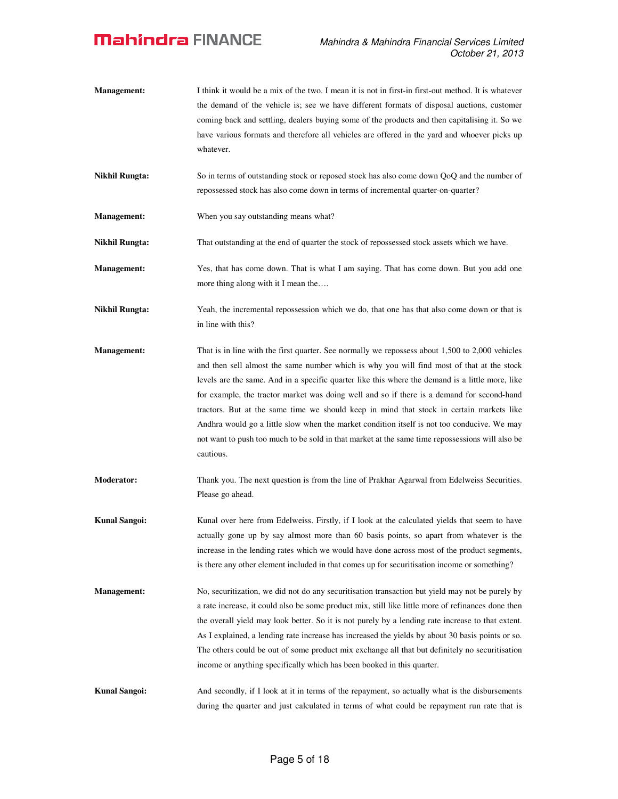- **Management:** I think it would be a mix of the two. I mean it is not in first-in first-out method. It is whatever the demand of the vehicle is; see we have different formats of disposal auctions, customer coming back and settling, dealers buying some of the products and then capitalising it. So we have various formats and therefore all vehicles are offered in the yard and whoever picks up whatever.
- **Nikhil Rungta:** So in terms of outstanding stock or reposed stock has also come down QoQ and the number of repossessed stock has also come down in terms of incremental quarter-on-quarter?
- **Management:** When you say outstanding means what?

**Nikhil Rungta:** That outstanding at the end of quarter the stock of repossessed stock assets which we have.

- **Management:** Yes, that has come down. That is what I am saying. That has come down. But you add one more thing along with it I mean the….
- **Nikhil Rungta:** Yeah, the incremental repossession which we do, that one has that also come down or that is in line with this?
- **Management:** That is in line with the first quarter. See normally we repossess about 1,500 to 2,000 vehicles and then sell almost the same number which is why you will find most of that at the stock levels are the same. And in a specific quarter like this where the demand is a little more, like for example, the tractor market was doing well and so if there is a demand for second-hand tractors. But at the same time we should keep in mind that stock in certain markets like Andhra would go a little slow when the market condition itself is not too conducive. We may not want to push too much to be sold in that market at the same time repossessions will also be cautious.
- **Moderator:** Thank you. The next question is from the line of Prakhar Agarwal from Edelweiss Securities. Please go ahead.
- **Kunal Sangoi: Kunal over here from Edelweiss. Firstly, if I look at the calculated yields that seem to have** actually gone up by say almost more than 60 basis points, so apart from whatever is the increase in the lending rates which we would have done across most of the product segments, is there any other element included in that comes up for securitisation income or something?
- **Management:** No, securitization, we did not do any securitisation transaction but yield may not be purely by a rate increase, it could also be some product mix, still like little more of refinances done then the overall yield may look better. So it is not purely by a lending rate increase to that extent. As I explained, a lending rate increase has increased the yields by about 30 basis points or so. The others could be out of some product mix exchange all that but definitely no securitisation income or anything specifically which has been booked in this quarter.

**Kunal Sangoi:** And secondly, if I look at it in terms of the repayment, so actually what is the disbursements during the quarter and just calculated in terms of what could be repayment run rate that is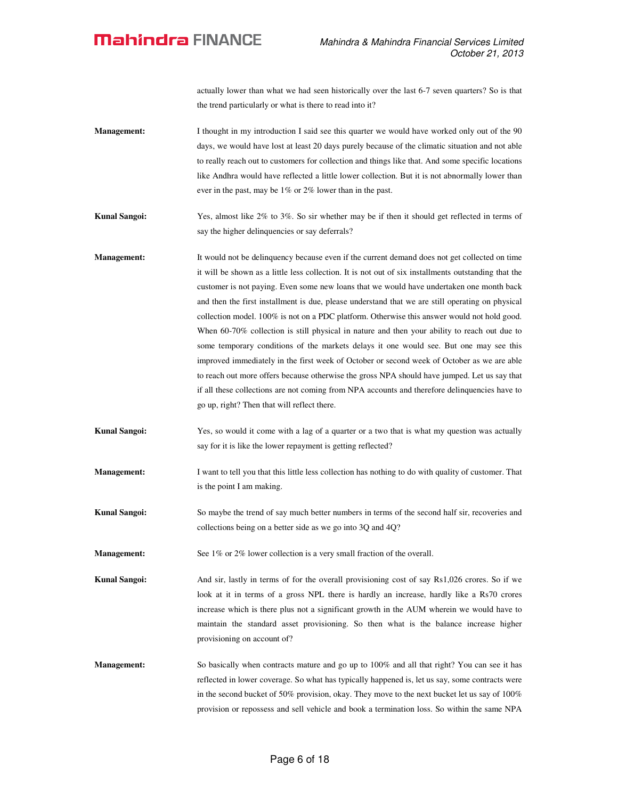actually lower than what we had seen historically over the last 6-7 seven quarters? So is that the trend particularly or what is there to read into it?

- **Management:** I thought in my introduction I said see this quarter we would have worked only out of the 90 days, we would have lost at least 20 days purely because of the climatic situation and not able to really reach out to customers for collection and things like that. And some specific locations like Andhra would have reflected a little lower collection. But it is not abnormally lower than ever in the past, may be 1% or 2% lower than in the past.
- **Kunal Sangoi:** Yes, almost like 2% to 3%. So sir whether may be if then it should get reflected in terms of say the higher delinquencies or say deferrals?
- **Management:** It would not be delinquency because even if the current demand does not get collected on time it will be shown as a little less collection. It is not out of six installments outstanding that the customer is not paying. Even some new loans that we would have undertaken one month back and then the first installment is due, please understand that we are still operating on physical collection model. 100% is not on a PDC platform. Otherwise this answer would not hold good. When 60-70% collection is still physical in nature and then your ability to reach out due to some temporary conditions of the markets delays it one would see. But one may see this improved immediately in the first week of October or second week of October as we are able to reach out more offers because otherwise the gross NPA should have jumped. Let us say that if all these collections are not coming from NPA accounts and therefore delinquencies have to go up, right? Then that will reflect there.
- **Kunal Sangoi:** Yes, so would it come with a lag of a quarter or a two that is what my question was actually say for it is like the lower repayment is getting reflected?
- **Management:** I want to tell you that this little less collection has nothing to do with quality of customer. That is the point I am making.
- **Kunal Sangoi:** So maybe the trend of say much better numbers in terms of the second half sir, recoveries and collections being on a better side as we go into 3Q and 4Q?

**Management:** See 1% or 2% lower collection is a very small fraction of the overall.

- **Kunal Sangoi:** And sir, lastly in terms of for the overall provisioning cost of say Rs1,026 crores. So if we look at it in terms of a gross NPL there is hardly an increase, hardly like a Rs70 crores increase which is there plus not a significant growth in the AUM wherein we would have to maintain the standard asset provisioning. So then what is the balance increase higher provisioning on account of?
- **Management:** So basically when contracts mature and go up to 100% and all that right? You can see it has reflected in lower coverage. So what has typically happened is, let us say, some contracts were in the second bucket of 50% provision, okay. They move to the next bucket let us say of 100% provision or repossess and sell vehicle and book a termination loss. So within the same NPA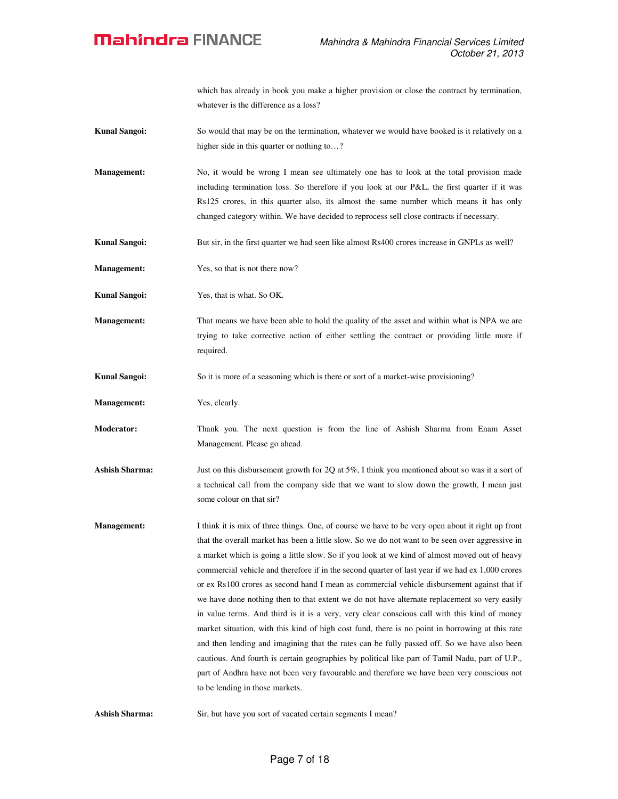which has already in book you make a higher provision or close the contract by termination, whatever is the difference as a loss?

- **Kunal Sangoi:** So would that may be on the termination, whatever we would have booked is it relatively on a higher side in this quarter or nothing to...?
- **Management:** No, it would be wrong I mean see ultimately one has to look at the total provision made including termination loss. So therefore if you look at our P&L, the first quarter if it was Rs125 crores, in this quarter also, its almost the same number which means it has only changed category within. We have decided to reprocess sell close contracts if necessary.
- **Kunal Sangoi:** But sir, in the first quarter we had seen like almost Rs400 crores increase in GNPLs as well?
- **Management:** Yes, so that is not there now?

**Kunal Sangoi:** Yes, that is what. So OK.

**Management:** That means we have been able to hold the quality of the asset and within what is NPA we are trying to take corrective action of either settling the contract or providing little more if required.

**Kunal Sangoi:** So it is more of a seasoning which is there or sort of a market-wise provisioning?

**Management:** Yes, clearly.

**Moderator:** Thank you. The next question is from the line of Ashish Sharma from Enam Asset Management. Please go ahead.

- Ashish Sharma: Just on this disbursement growth for 2Q at 5%, I think you mentioned about so was it a sort of a technical call from the company side that we want to slow down the growth, I mean just some colour on that sir?
- **Management:** I think it is mix of three things. One, of course we have to be very open about it right up front that the overall market has been a little slow. So we do not want to be seen over aggressive in a market which is going a little slow. So if you look at we kind of almost moved out of heavy commercial vehicle and therefore if in the second quarter of last year if we had ex 1,000 crores or ex Rs100 crores as second hand I mean as commercial vehicle disbursement against that if we have done nothing then to that extent we do not have alternate replacement so very easily in value terms. And third is it is a very, very clear conscious call with this kind of money market situation, with this kind of high cost fund, there is no point in borrowing at this rate and then lending and imagining that the rates can be fully passed off. So we have also been cautious. And fourth is certain geographies by political like part of Tamil Nadu, part of U.P., part of Andhra have not been very favourable and therefore we have been very conscious not to be lending in those markets.

**Ashish Sharma:** Sir, but have you sort of vacated certain segments I mean?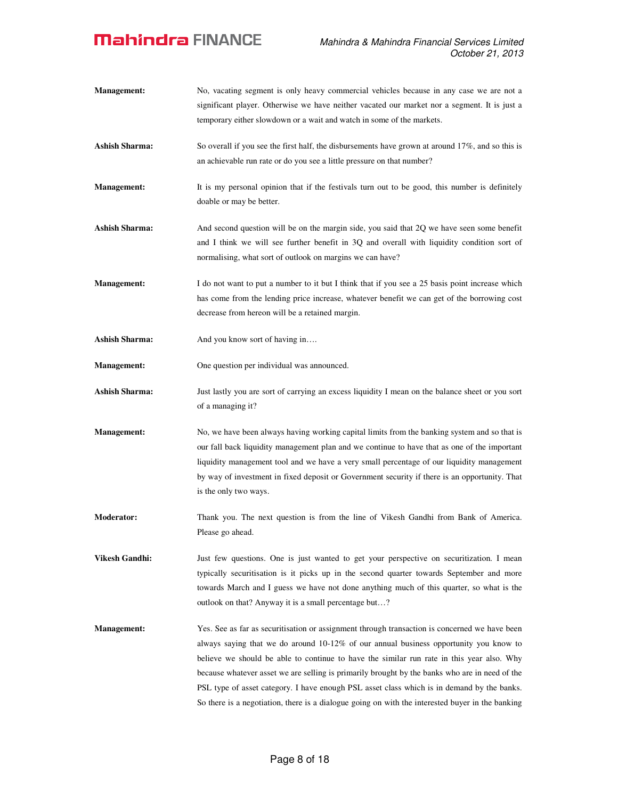**Management:** No, vacating segment is only heavy commercial vehicles because in any case we are not a significant player. Otherwise we have neither vacated our market nor a segment. It is just a temporary either slowdown or a wait and watch in some of the markets. Ashish Sharma: So overall if you see the first half, the disbursements have grown at around 17%, and so this is an achievable run rate or do you see a little pressure on that number? **Management:** It is my personal opinion that if the festivals turn out to be good, this number is definitely doable or may be better. Ashish Sharma: And second question will be on the margin side, you said that 2Q we have seen some benefit and I think we will see further benefit in 3Q and overall with liquidity condition sort of normalising, what sort of outlook on margins we can have? **Management:** I do not want to put a number to it but I think that if you see a 25 basis point increase which has come from the lending price increase, whatever benefit we can get of the borrowing cost decrease from hereon will be a retained margin. Ashish Sharma: And you know sort of having in.... **Management:** One question per individual was announced. Ashish Sharma: **Just lastly you are sort of carrying an excess liquidity I mean on the balance sheet or you sort** of a managing it? **Management:** No, we have been always having working capital limits from the banking system and so that is our fall back liquidity management plan and we continue to have that as one of the important liquidity management tool and we have a very small percentage of our liquidity management by way of investment in fixed deposit or Government security if there is an opportunity. That is the only two ways. **Moderator:** Thank you. The next question is from the line of Vikesh Gandhi from Bank of America. Please go ahead. **Vikesh Gandhi:** Just few questions. One is just wanted to get your perspective on securitization. I mean typically securitisation is it picks up in the second quarter towards September and more towards March and I guess we have not done anything much of this quarter, so what is the outlook on that? Anyway it is a small percentage but…? **Management:** Yes. See as far as securitisation or assignment through transaction is concerned we have been always saying that we do around 10-12% of our annual business opportunity you know to believe we should be able to continue to have the similar run rate in this year also. Why because whatever asset we are selling is primarily brought by the banks who are in need of the PSL type of asset category. I have enough PSL asset class which is in demand by the banks. So there is a negotiation, there is a dialogue going on with the interested buyer in the banking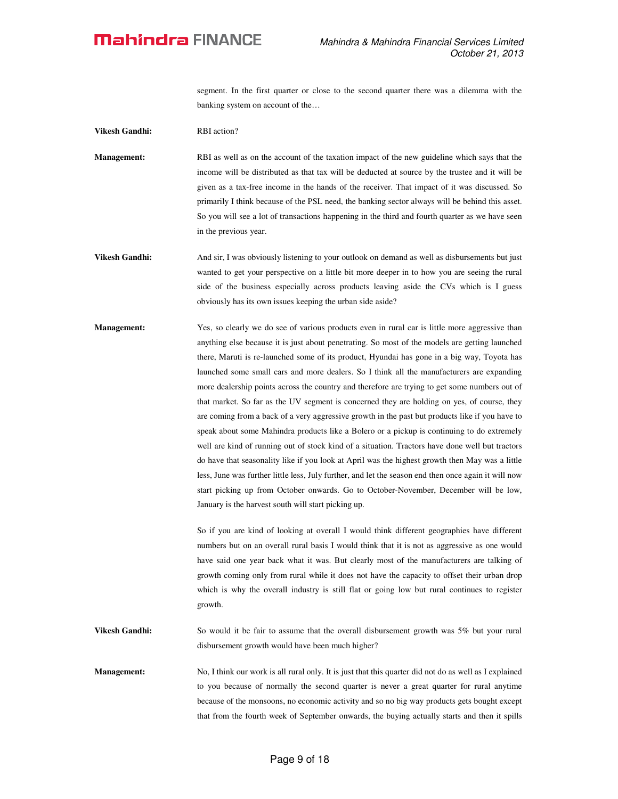segment. In the first quarter or close to the second quarter there was a dilemma with the banking system on account of the…

**Vikesh Gandhi:** RBI action?

**Management:** RBI as well as on the account of the taxation impact of the new guideline which says that the income will be distributed as that tax will be deducted at source by the trustee and it will be given as a tax-free income in the hands of the receiver. That impact of it was discussed. So primarily I think because of the PSL need, the banking sector always will be behind this asset. So you will see a lot of transactions happening in the third and fourth quarter as we have seen in the previous year.

- **Vikesh Gandhi:** And sir, I was obviously listening to your outlook on demand as well as disbursements but just wanted to get your perspective on a little bit more deeper in to how you are seeing the rural side of the business especially across products leaving aside the CVs which is I guess obviously has its own issues keeping the urban side aside?
- **Management:** Yes, so clearly we do see of various products even in rural car is little more aggressive than anything else because it is just about penetrating. So most of the models are getting launched there, Maruti is re-launched some of its product, Hyundai has gone in a big way, Toyota has launched some small cars and more dealers. So I think all the manufacturers are expanding more dealership points across the country and therefore are trying to get some numbers out of that market. So far as the UV segment is concerned they are holding on yes, of course, they are coming from a back of a very aggressive growth in the past but products like if you have to speak about some Mahindra products like a Bolero or a pickup is continuing to do extremely well are kind of running out of stock kind of a situation. Tractors have done well but tractors do have that seasonality like if you look at April was the highest growth then May was a little less, June was further little less, July further, and let the season end then once again it will now start picking up from October onwards. Go to October-November, December will be low, January is the harvest south will start picking up.

So if you are kind of looking at overall I would think different geographies have different numbers but on an overall rural basis I would think that it is not as aggressive as one would have said one year back what it was. But clearly most of the manufacturers are talking of growth coming only from rural while it does not have the capacity to offset their urban drop which is why the overall industry is still flat or going low but rural continues to register growth.

**Vikesh Gandhi:** So would it be fair to assume that the overall disbursement growth was 5% but your rural disbursement growth would have been much higher?

**Management:** No, I think our work is all rural only. It is just that this quarter did not do as well as I explained to you because of normally the second quarter is never a great quarter for rural anytime because of the monsoons, no economic activity and so no big way products gets bought except that from the fourth week of September onwards, the buying actually starts and then it spills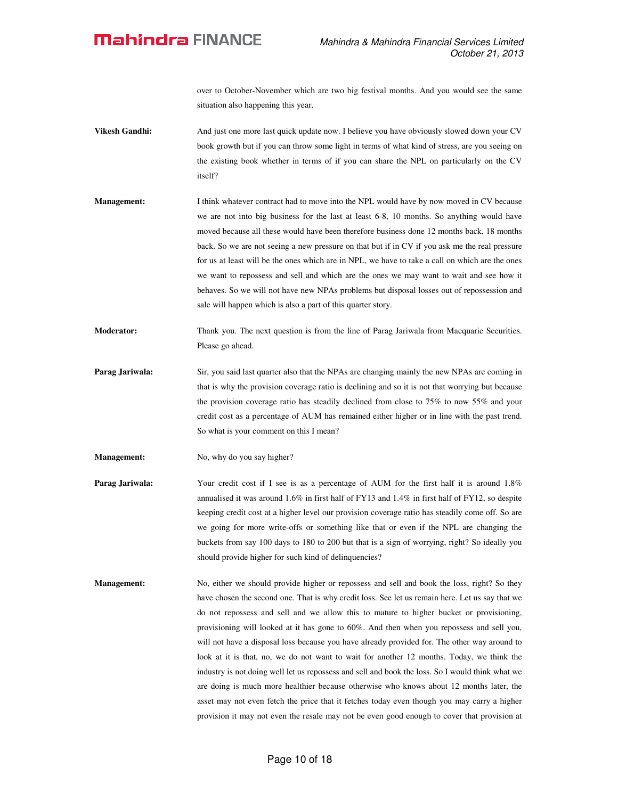over to October-November which are two big festival months. And you would see the same situation also happening this year.

- **Vikesh Gandhi:** And just one more last quick update now. I believe you have obviously slowed down your CV book growth but if you can throw some light in terms of what kind of stress, are you seeing on the existing book whether in terms of if you can share the NPL on particularly on the CV itself?
- **Management:** I think whatever contract had to move into the NPL would have by now moved in CV because we are not into big business for the last at least 6-8, 10 months. So anything would have moved because all these would have been therefore business done 12 months back, 18 months back. So we are not seeing a new pressure on that but if in CV if you ask me the real pressure for us at least will be the ones which are in NPL, we have to take a call on which are the ones we want to repossess and sell and which are the ones we may want to wait and see how it behaves. So we will not have new NPAs problems but disposal losses out of repossession and sale will happen which is also a part of this quarter story.
- **Moderator:** Thank you. The next question is from the line of Parag Jariwala from Macquarie Securities. Please go ahead.
- **Parag Jariwala:** Sir, you said last quarter also that the NPAs are changing mainly the new NPAs are coming in that is why the provision coverage ratio is declining and so it is not that worrying but because the provision coverage ratio has steadily declined from close to 75% to now 55% and your credit cost as a percentage of AUM has remained either higher or in line with the past trend. So what is your comment on this I mean?
- **Management:** No, why do you say higher?
- **Parag Jariwala:** Your credit cost if I see is as a percentage of AUM for the first half it is around 1.8% annualised it was around 1.6% in first half of FY13 and 1.4% in first half of FY12, so despite keeping credit cost at a higher level our provision coverage ratio has steadily come off. So are we going for more write-offs or something like that or even if the NPL are changing the buckets from say 100 days to 180 to 200 but that is a sign of worrying, right? So ideally you should provide higher for such kind of delinquencies?
- **Management:** No, either we should provide higher or repossess and sell and book the loss, right? So they have chosen the second one. That is why credit loss. See let us remain here. Let us say that we do not repossess and sell and we allow this to mature to higher bucket or provisioning, provisioning will looked at it has gone to 60%. And then when you repossess and sell you, will not have a disposal loss because you have already provided for. The other way around to look at it is that, no, we do not want to wait for another 12 months. Today, we think the industry is not doing well let us repossess and sell and book the loss. So I would think what we are doing is much more healthier because otherwise who knows about 12 months later, the asset may not even fetch the price that it fetches today even though you may carry a higher provision it may not even the resale may not be even good enough to cover that provision at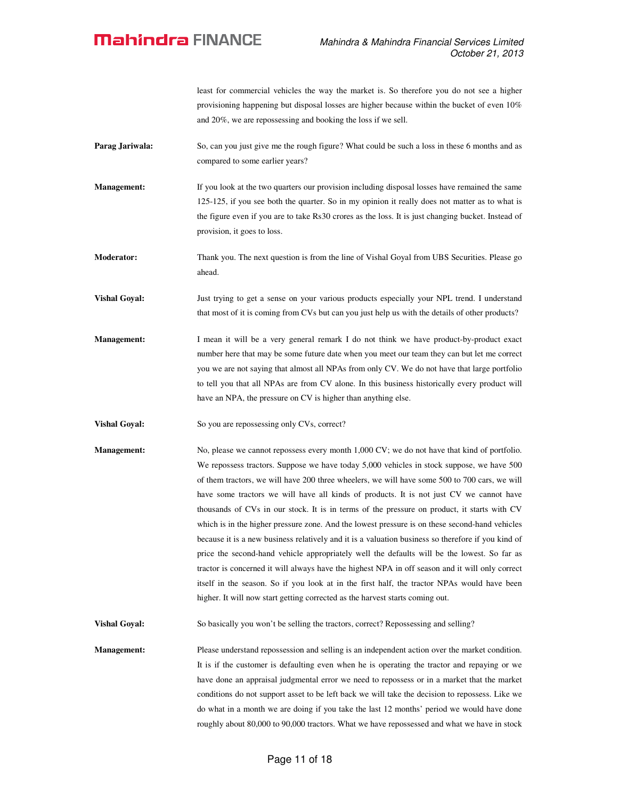least for commercial vehicles the way the market is. So therefore you do not see a higher provisioning happening but disposal losses are higher because within the bucket of even 10% and 20%, we are repossessing and booking the loss if we sell.

- **Parag Jariwala:** So, can you just give me the rough figure? What could be such a loss in these 6 months and as compared to some earlier years?
- **Management:** If you look at the two quarters our provision including disposal losses have remained the same 125-125, if you see both the quarter. So in my opinion it really does not matter as to what is the figure even if you are to take Rs30 crores as the loss. It is just changing bucket. Instead of provision, it goes to loss.
- **Moderator:** Thank you. The next question is from the line of Vishal Goyal from UBS Securities. Please go ahead.
- **Vishal Goyal:** Just trying to get a sense on your various products especially your NPL trend. I understand that most of it is coming from CVs but can you just help us with the details of other products?
- **Management:** I mean it will be a very general remark I do not think we have product-by-product exact number here that may be some future date when you meet our team they can but let me correct you we are not saying that almost all NPAs from only CV. We do not have that large portfolio to tell you that all NPAs are from CV alone. In this business historically every product will have an NPA, the pressure on CV is higher than anything else.
- **Vishal Goyal:** So you are repossessing only CVs, correct?
- **Management:** No, please we cannot repossess every month 1,000 CV; we do not have that kind of portfolio. We repossess tractors. Suppose we have today 5,000 vehicles in stock suppose, we have 500 of them tractors, we will have 200 three wheelers, we will have some 500 to 700 cars, we will have some tractors we will have all kinds of products. It is not just CV we cannot have thousands of CVs in our stock. It is in terms of the pressure on product, it starts with CV which is in the higher pressure zone. And the lowest pressure is on these second-hand vehicles because it is a new business relatively and it is a valuation business so therefore if you kind of price the second-hand vehicle appropriately well the defaults will be the lowest. So far as tractor is concerned it will always have the highest NPA in off season and it will only correct itself in the season. So if you look at in the first half, the tractor NPAs would have been higher. It will now start getting corrected as the harvest starts coming out.

**Vishal Goyal:** So basically you won't be selling the tractors, correct? Repossessing and selling?

**Management:** Please understand repossession and selling is an independent action over the market condition. It is if the customer is defaulting even when he is operating the tractor and repaying or we have done an appraisal judgmental error we need to repossess or in a market that the market conditions do not support asset to be left back we will take the decision to repossess. Like we do what in a month we are doing if you take the last 12 months' period we would have done roughly about 80,000 to 90,000 tractors. What we have repossessed and what we have in stock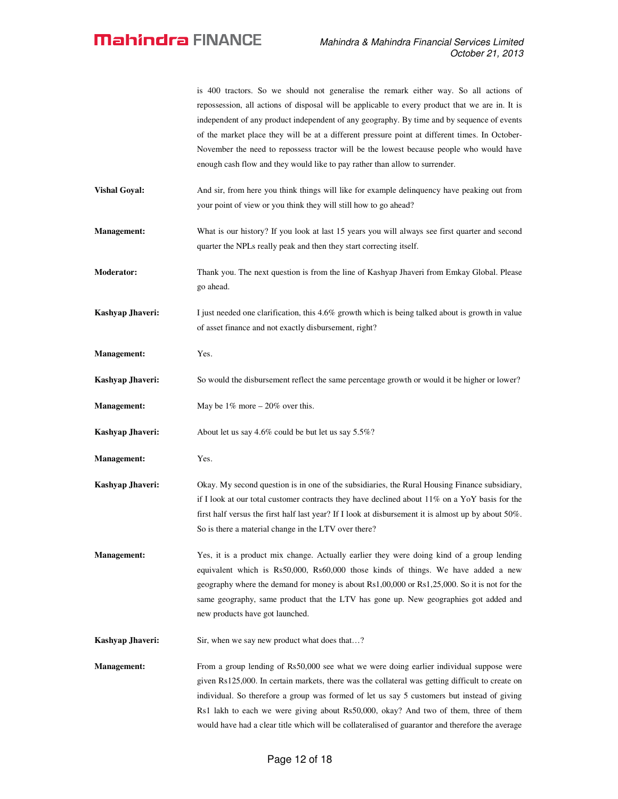|                      | is 400 tractors. So we should not generalise the remark either way. So all actions of<br>repossession, all actions of disposal will be applicable to every product that we are in. It is<br>independent of any product independent of any geography. By time and by sequence of events<br>of the market place they will be at a different pressure point at different times. In October-<br>November the need to repossess tractor will be the lowest because people who would have<br>enough cash flow and they would like to pay rather than allow to surrender. |
|----------------------|--------------------------------------------------------------------------------------------------------------------------------------------------------------------------------------------------------------------------------------------------------------------------------------------------------------------------------------------------------------------------------------------------------------------------------------------------------------------------------------------------------------------------------------------------------------------|
| <b>Vishal Goyal:</b> | And sir, from here you think things will like for example delinguency have peaking out from<br>your point of view or you think they will still how to go ahead?                                                                                                                                                                                                                                                                                                                                                                                                    |
| <b>Management:</b>   | What is our history? If you look at last 15 years you will always see first quarter and second<br>quarter the NPLs really peak and then they start correcting itself.                                                                                                                                                                                                                                                                                                                                                                                              |
| <b>Moderator:</b>    | Thank you. The next question is from the line of Kashyap Jhaveri from Emkay Global. Please<br>go ahead.                                                                                                                                                                                                                                                                                                                                                                                                                                                            |
| Kashyap Jhaveri:     | I just needed one clarification, this 4.6% growth which is being talked about is growth in value<br>of asset finance and not exactly disbursement, right?                                                                                                                                                                                                                                                                                                                                                                                                          |
| <b>Management:</b>   | Yes.                                                                                                                                                                                                                                                                                                                                                                                                                                                                                                                                                               |
| Kashyap Jhaveri:     | So would the disbursement reflect the same percentage growth or would it be higher or lower?                                                                                                                                                                                                                                                                                                                                                                                                                                                                       |
| <b>Management:</b>   | May be $1\%$ more $-20\%$ over this.                                                                                                                                                                                                                                                                                                                                                                                                                                                                                                                               |
| Kashyap Jhaveri:     | About let us say 4.6% could be but let us say 5.5%?                                                                                                                                                                                                                                                                                                                                                                                                                                                                                                                |
| <b>Management:</b>   | Yes.                                                                                                                                                                                                                                                                                                                                                                                                                                                                                                                                                               |
| Kashyap Jhaveri:     | Okay. My second question is in one of the subsidiaries, the Rural Housing Finance subsidiary,<br>if I look at our total customer contracts they have declined about 11% on a YoY basis for the<br>first half versus the first half last year? If I look at disbursement it is almost up by about $50\%$ .<br>So is there a material change in the LTV over there?                                                                                                                                                                                                  |
| <b>Management:</b>   | Yes, it is a product mix change. Actually earlier they were doing kind of a group lending<br>equivalent which is Rs50,000, Rs60,000 those kinds of things. We have added a new<br>geography where the demand for money is about Rs1,00,000 or Rs1,25,000. So it is not for the<br>same geography, same product that the LTV has gone up. New geographies got added and<br>new products have got launched.                                                                                                                                                          |
| Kashyap Jhaveri:     | Sir, when we say new product what does that?                                                                                                                                                                                                                                                                                                                                                                                                                                                                                                                       |
| <b>Management:</b>   | From a group lending of Rs50,000 see what we were doing earlier individual suppose were<br>given Rs125,000. In certain markets, there was the collateral was getting difficult to create on<br>individual. So therefore a group was formed of let us say 5 customers but instead of giving<br>Rs1 lakh to each we were giving about Rs50,000, okay? And two of them, three of them<br>would have had a clear title which will be collateralised of guarantor and therefore the average                                                                             |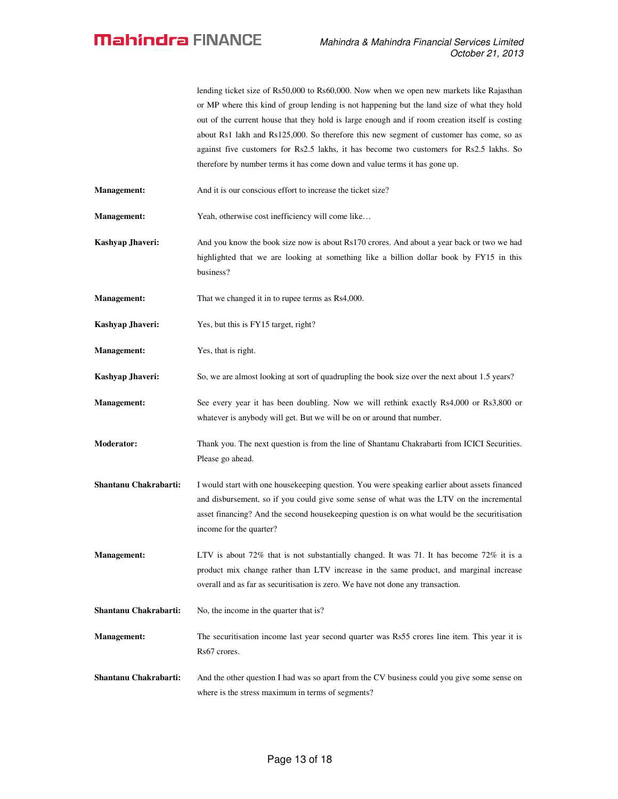lending ticket size of Rs50,000 to Rs60,000. Now when we open new markets like Rajasthan or MP where this kind of group lending is not happening but the land size of what they hold out of the current house that they hold is large enough and if room creation itself is costing about Rs1 lakh and Rs125,000. So therefore this new segment of customer has come, so as against five customers for Rs2.5 lakhs, it has become two customers for Rs2.5 lakhs. So therefore by number terms it has come down and value terms it has gone up.

**Management:** And it is our conscious effort to increase the ticket size?

**Management:** Yeah, otherwise cost inefficiency will come like...

**Kashyap Jhaveri:** And you know the book size now is about Rs170 crores. And about a year back or two we had highlighted that we are looking at something like a billion dollar book by FY15 in this business?

**Management:** That we changed it in to rupee terms as Rs4,000.

**Kashyap Jhaveri:** Yes, but this is FY15 target, right?

**Management:** Yes, that is right.

**Kashyap Jhaveri:** So, we are almost looking at sort of quadrupling the book size over the next about 1.5 years?

**Management:** See every year it has been doubling. Now we will rethink exactly Rs4,000 or Rs3,800 or whatever is anybody will get. But we will be on or around that number.

**Moderator:** Thank you. The next question is from the line of Shantanu Chakrabarti from ICICI Securities. Please go ahead.

**Shantanu Chakrabarti:** I would start with one housekeeping question. You were speaking earlier about assets financed and disbursement, so if you could give some sense of what was the LTV on the incremental asset financing? And the second housekeeping question is on what would be the securitisation income for the quarter?

**Management:** LTV is about 72% that is not substantially changed. It was 71. It has become 72% it is a product mix change rather than LTV increase in the same product, and marginal increase overall and as far as securitisation is zero. We have not done any transaction.

**Shantanu Chakrabarti:** No, the income in the quarter that is?

**Management:** The securitisation income last year second quarter was Rs55 crores line item. This year it is Rs67 crores.

**Shantanu Chakrabarti:** And the other question I had was so apart from the CV business could you give some sense on where is the stress maximum in terms of segments?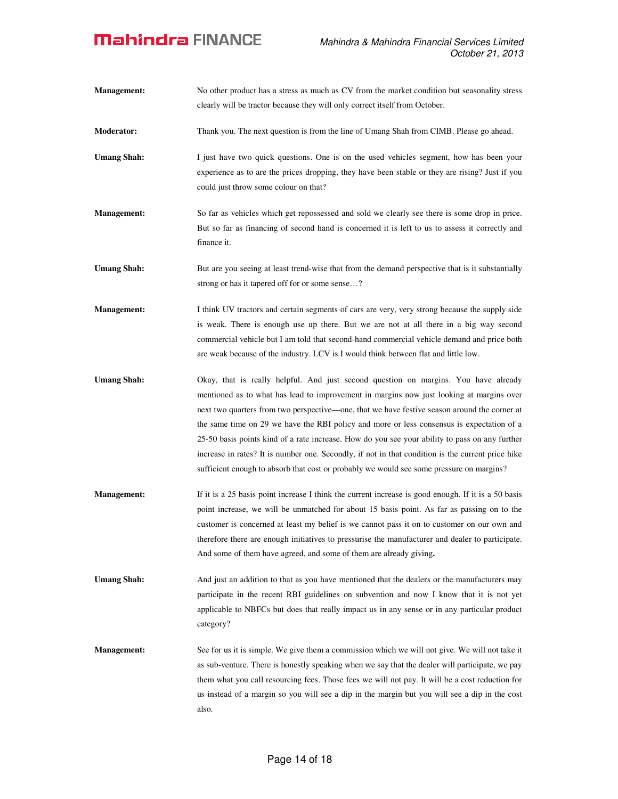| <b>Management:</b> | No other product has a stress as much as CV from the market condition but seasonality stress<br>clearly will be tractor because they will only correct itself from October.                                                                                                                                                                                                                                                                                                                                                                                                                                                                                                     |
|--------------------|---------------------------------------------------------------------------------------------------------------------------------------------------------------------------------------------------------------------------------------------------------------------------------------------------------------------------------------------------------------------------------------------------------------------------------------------------------------------------------------------------------------------------------------------------------------------------------------------------------------------------------------------------------------------------------|
| <b>Moderator:</b>  | Thank you. The next question is from the line of Umang Shah from CIMB. Please go ahead.                                                                                                                                                                                                                                                                                                                                                                                                                                                                                                                                                                                         |
| <b>Umang Shah:</b> | I just have two quick questions. One is on the used vehicles segment, how has been your<br>experience as to are the prices dropping, they have been stable or they are rising? Just if you<br>could just throw some colour on that?                                                                                                                                                                                                                                                                                                                                                                                                                                             |
| <b>Management:</b> | So far as vehicles which get repossessed and sold we clearly see there is some drop in price.<br>But so far as financing of second hand is concerned it is left to us to assess it correctly and<br>finance it.                                                                                                                                                                                                                                                                                                                                                                                                                                                                 |
| <b>Umang Shah:</b> | But are you seeing at least trend-wise that from the demand perspective that is it substantially<br>strong or has it tapered off for or some sense?                                                                                                                                                                                                                                                                                                                                                                                                                                                                                                                             |
| Management:        | I think UV tractors and certain segments of cars are very, very strong because the supply side<br>is weak. There is enough use up there. But we are not at all there in a big way second<br>commercial vehicle but I am told that second-hand commercial vehicle demand and price both<br>are weak because of the industry. LCV is I would think between flat and little low.                                                                                                                                                                                                                                                                                                   |
| <b>Umang Shah:</b> | Okay, that is really helpful. And just second question on margins. You have already<br>mentioned as to what has lead to improvement in margins now just looking at margins over<br>next two quarters from two perspective—one, that we have festive season around the corner at<br>the same time on 29 we have the RBI policy and more or less consensus is expectation of a<br>25-50 basis points kind of a rate increase. How do you see your ability to pass on any further<br>increase in rates? It is number one. Secondly, if not in that condition is the current price hike<br>sufficient enough to absorb that cost or probably we would see some pressure on margins? |
| Management:        | If it is a 25 basis point increase I think the current increase is good enough. If it is a 50 basis<br>point increase, we will be unmatched for about 15 basis point. As far as passing on to the<br>customer is concerned at least my belief is we cannot pass it on to customer on our own and<br>therefore there are enough initiatives to pressurise the manufacturer and dealer to participate.<br>And some of them have agreed, and some of them are already giving.                                                                                                                                                                                                      |
| <b>Umang Shah:</b> | And just an addition to that as you have mentioned that the dealers or the manufacturers may<br>participate in the recent RBI guidelines on subvention and now I know that it is not yet<br>applicable to NBFCs but does that really impact us in any sense or in any particular product<br>category?                                                                                                                                                                                                                                                                                                                                                                           |
| <b>Management:</b> | See for us it is simple. We give them a commission which we will not give. We will not take it<br>as sub-venture. There is honestly speaking when we say that the dealer will participate, we pay<br>them what you call resourcing fees. Those fees we will not pay. It will be a cost reduction for<br>us instead of a margin so you will see a dip in the margin but you will see a dip in the cost<br>also.                                                                                                                                                                                                                                                                  |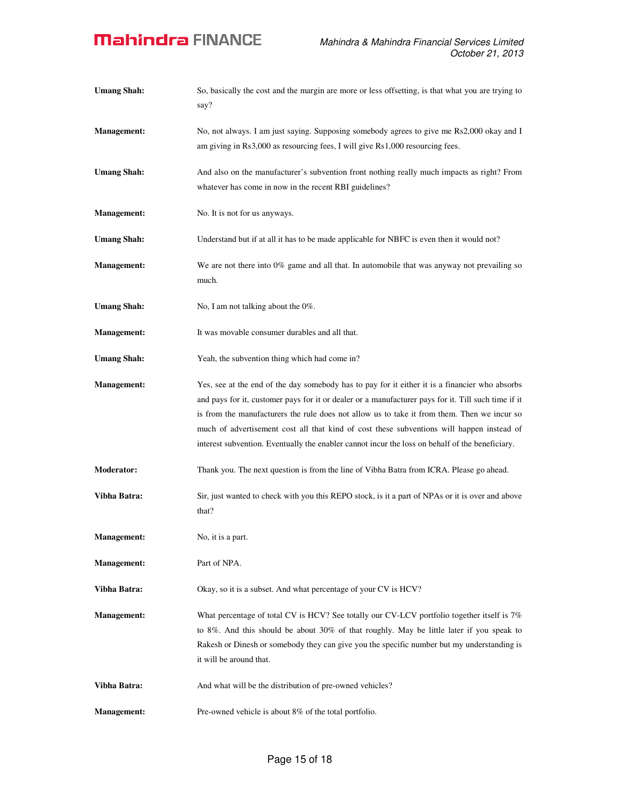| <b>Umang Shah:</b> | So, basically the cost and the margin are more or less offsetting, is that what you are trying to<br>say?                                                                                                                                                                                                                                                                                                                                                                                            |
|--------------------|------------------------------------------------------------------------------------------------------------------------------------------------------------------------------------------------------------------------------------------------------------------------------------------------------------------------------------------------------------------------------------------------------------------------------------------------------------------------------------------------------|
| <b>Management:</b> | No, not always. I am just saying. Supposing somebody agrees to give me Rs2,000 okay and I<br>am giving in Rs3,000 as resourcing fees, I will give Rs1,000 resourcing fees.                                                                                                                                                                                                                                                                                                                           |
| <b>Umang Shah:</b> | And also on the manufacturer's subvention front nothing really much impacts as right? From<br>whatever has come in now in the recent RBI guidelines?                                                                                                                                                                                                                                                                                                                                                 |
| <b>Management:</b> | No. It is not for us anyways.                                                                                                                                                                                                                                                                                                                                                                                                                                                                        |
| <b>Umang Shah:</b> | Understand but if at all it has to be made applicable for NBFC is even then it would not?                                                                                                                                                                                                                                                                                                                                                                                                            |
| <b>Management:</b> | We are not there into $0\%$ game and all that. In automobile that was anyway not prevailing so<br>much.                                                                                                                                                                                                                                                                                                                                                                                              |
| <b>Umang Shah:</b> | No, I am not talking about the 0%.                                                                                                                                                                                                                                                                                                                                                                                                                                                                   |
| <b>Management:</b> | It was movable consumer durables and all that.                                                                                                                                                                                                                                                                                                                                                                                                                                                       |
| <b>Umang Shah:</b> | Yeah, the subvention thing which had come in?                                                                                                                                                                                                                                                                                                                                                                                                                                                        |
| <b>Management:</b> | Yes, see at the end of the day somebody has to pay for it either it is a financier who absorbs<br>and pays for it, customer pays for it or dealer or a manufacturer pays for it. Till such time if it<br>is from the manufacturers the rule does not allow us to take it from them. Then we incur so<br>much of advertisement cost all that kind of cost these subventions will happen instead of<br>interest subvention. Eventually the enabler cannot incur the loss on behalf of the beneficiary. |
| <b>Moderator:</b>  | Thank you. The next question is from the line of Vibha Batra from ICRA. Please go ahead.                                                                                                                                                                                                                                                                                                                                                                                                             |
| Vibha Batra:       | Sir, just wanted to check with you this REPO stock, is it a part of NPAs or it is over and above<br>that?                                                                                                                                                                                                                                                                                                                                                                                            |
| <b>Management:</b> | No, it is a part.                                                                                                                                                                                                                                                                                                                                                                                                                                                                                    |
| Management:        | Part of NPA.                                                                                                                                                                                                                                                                                                                                                                                                                                                                                         |
| Vibha Batra:       | Okay, so it is a subset. And what percentage of your CV is HCV?                                                                                                                                                                                                                                                                                                                                                                                                                                      |
| <b>Management:</b> | What percentage of total CV is HCV? See totally our CV-LCV portfolio together itself is 7%<br>to 8%. And this should be about 30% of that roughly. May be little later if you speak to<br>Rakesh or Dinesh or somebody they can give you the specific number but my understanding is<br>it will be around that.                                                                                                                                                                                      |
| Vibha Batra:       | And what will be the distribution of pre-owned vehicles?                                                                                                                                                                                                                                                                                                                                                                                                                                             |
| <b>Management:</b> | Pre-owned vehicle is about 8% of the total portfolio.                                                                                                                                                                                                                                                                                                                                                                                                                                                |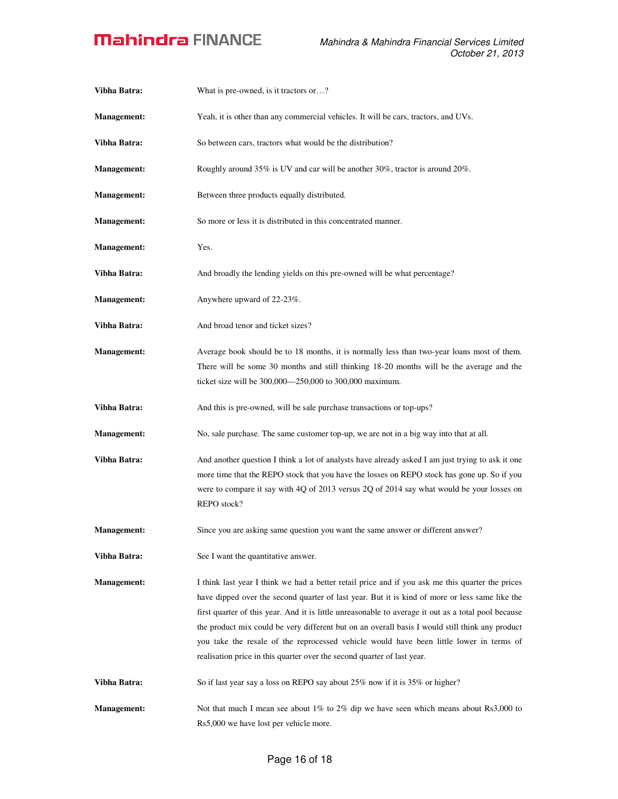| Vibha Batra:       | What is pre-owned, is it tractors or?                                                                                                                                                                                                                                                                                                                                                                                                                                                                                                                                              |
|--------------------|------------------------------------------------------------------------------------------------------------------------------------------------------------------------------------------------------------------------------------------------------------------------------------------------------------------------------------------------------------------------------------------------------------------------------------------------------------------------------------------------------------------------------------------------------------------------------------|
| <b>Management:</b> | Yeah, it is other than any commercial vehicles. It will be cars, tractors, and UVs.                                                                                                                                                                                                                                                                                                                                                                                                                                                                                                |
| Vibha Batra:       | So between cars, tractors what would be the distribution?                                                                                                                                                                                                                                                                                                                                                                                                                                                                                                                          |
| <b>Management:</b> | Roughly around 35% is UV and car will be another 30%, tractor is around 20%.                                                                                                                                                                                                                                                                                                                                                                                                                                                                                                       |
| <b>Management:</b> | Between three products equally distributed.                                                                                                                                                                                                                                                                                                                                                                                                                                                                                                                                        |
| <b>Management:</b> | So more or less it is distributed in this concentrated manner.                                                                                                                                                                                                                                                                                                                                                                                                                                                                                                                     |
| <b>Management:</b> | Yes.                                                                                                                                                                                                                                                                                                                                                                                                                                                                                                                                                                               |
| Vibha Batra:       | And broadly the lending yields on this pre-owned will be what percentage?                                                                                                                                                                                                                                                                                                                                                                                                                                                                                                          |
| <b>Management:</b> | Anywhere upward of 22-23%.                                                                                                                                                                                                                                                                                                                                                                                                                                                                                                                                                         |
| Vibha Batra:       | And broad tenor and ticket sizes?                                                                                                                                                                                                                                                                                                                                                                                                                                                                                                                                                  |
| <b>Management:</b> | Average book should be to 18 months, it is normally less than two-year loans most of them.<br>There will be some 30 months and still thinking 18-20 months will be the average and the<br>ticket size will be 300,000—250,000 to 300,000 maximum.                                                                                                                                                                                                                                                                                                                                  |
| Vibha Batra:       | And this is pre-owned, will be sale purchase transactions or top-ups?                                                                                                                                                                                                                                                                                                                                                                                                                                                                                                              |
| <b>Management:</b> | No, sale purchase. The same customer top-up, we are not in a big way into that at all.                                                                                                                                                                                                                                                                                                                                                                                                                                                                                             |
| Vibha Batra:       | And another question I think a lot of analysts have already asked I am just trying to ask it one<br>more time that the REPO stock that you have the losses on REPO stock has gone up. So if you<br>were to compare it say with 4Q of 2013 versus 2Q of 2014 say what would be your losses on<br>REPO stock?                                                                                                                                                                                                                                                                        |
| <b>Management:</b> | Since you are asking same question you want the same answer or different answer?                                                                                                                                                                                                                                                                                                                                                                                                                                                                                                   |
| Vibha Batra:       | See I want the quantitative answer.                                                                                                                                                                                                                                                                                                                                                                                                                                                                                                                                                |
| <b>Management:</b> | I think last year I think we had a better retail price and if you ask me this quarter the prices<br>have dipped over the second quarter of last year. But it is kind of more or less same like the<br>first quarter of this year. And it is little unreasonable to average it out as a total pool because<br>the product mix could be very different but on an overall basis I would still think any product<br>you take the resale of the reprocessed vehicle would have been little lower in terms of<br>realisation price in this quarter over the second quarter of last year. |
| Vibha Batra:       | So if last year say a loss on REPO say about 25% now if it is 35% or higher?                                                                                                                                                                                                                                                                                                                                                                                                                                                                                                       |
| <b>Management:</b> | Not that much I mean see about 1% to 2% dip we have seen which means about Rs3,000 to<br>Rs5,000 we have lost per vehicle more.                                                                                                                                                                                                                                                                                                                                                                                                                                                    |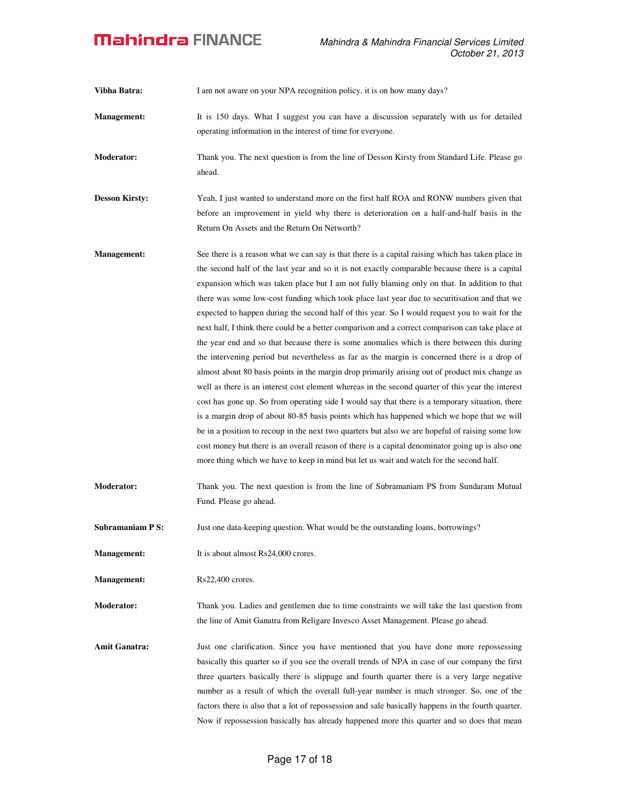**Vibha Batra:** I am not aware on your NPA recognition policy, it is on how many days?

**Management:** It is 150 days. What I suggest you can have a discussion separately with us for detailed operating information in the interest of time for everyone.

**Moderator:** Thank you. The next question is from the line of Desson Kirsty from Standard Life. Please go ahead.

**Desson Kirsty:** Yeah, I just wanted to understand more on the first half ROA and RONW numbers given that before an improvement in yield why there is deterioration on a half-and-half basis in the Return On Assets and the Return On Networth?

- **Management:** See there is a reason what we can say is that there is a capital raising which has taken place in the second half of the last year and so it is not exactly comparable because there is a capital expansion which was taken place but I am not fully blaming only on that. In addition to that there was some low-cost funding which took place last year due to securitisation and that we expected to happen during the second half of this year. So I would request you to wait for the next half, I think there could be a better comparison and a correct comparison can take place at the year end and so that because there is some anomalies which is there between this during the intervening period but nevertheless as far as the margin is concerned there is a drop of almost about 80 basis points in the margin drop primarily arising out of product mix change as well as there is an interest cost element whereas in the second quarter of this year the interest cost has gone up. So from operating side I would say that there is a temporary situation, there is a margin drop of about 80-85 basis points which has happened which we hope that we will be in a position to recoup in the next two quarters but also we are hopeful of raising some low cost money but there is an overall reason of there is a capital denominator going up is also one more thing which we have to keep in mind but let us wait and watch for the second half.
- **Moderator:** Thank you. The next question is from the line of Subramaniam PS from Sundaram Mutual Fund. Please go ahead.

**Subramaniam P S:** Just one data-keeping question. What would be the outstanding loans, borrowings?

**Management:** It is about almost Rs24,000 crores.

**Management:** Rs22,400 crores.

**Moderator:** Thank you. Ladies and gentlemen due to time constraints we will take the last question from the line of Amit Ganatra from Religare Invesco Asset Management. Please go ahead.

Amit Ganatra: Just one clarification. Since you have mentioned that you have done more repossessing basically this quarter so if you see the overall trends of NPA in case of our company the first three quarters basically there is slippage and fourth quarter there is a very large negative number as a result of which the overall full-year number is much stronger. So, one of the factors there is also that a lot of repossession and sale basically happens in the fourth quarter. Now if repossession basically has already happened more this quarter and so does that mean